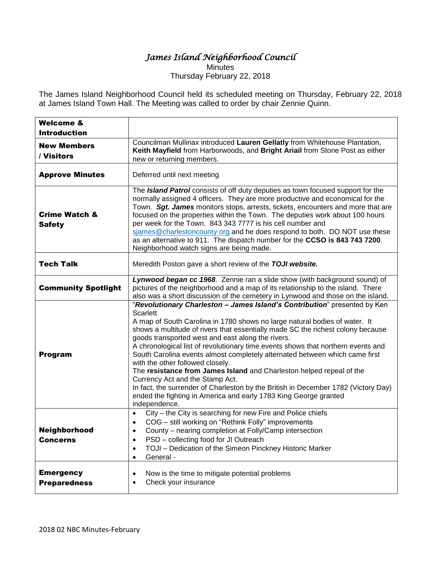## *James Island Neighborhood Council*

**Minutes** Thursday February 22, 2018

The James Island Neighborhood Council held its scheduled meeting on Thursday, February 22, 2018 at James Island Town Hall. The Meeting was called to order by chair Zennie Quinn.

| <b>Welcome &amp;</b><br><b>Introduction</b> |                                                                                                                                                                                                                                                                                                                                                                                                                                                                                                                                                                                                                                                                                                                                                                                                                 |
|---------------------------------------------|-----------------------------------------------------------------------------------------------------------------------------------------------------------------------------------------------------------------------------------------------------------------------------------------------------------------------------------------------------------------------------------------------------------------------------------------------------------------------------------------------------------------------------------------------------------------------------------------------------------------------------------------------------------------------------------------------------------------------------------------------------------------------------------------------------------------|
| <b>New Members</b><br>/ Visitors            | Councilman Mullinax introduced Lauren Gellatly from Whitehouse Plantation,<br>Keith Mayfield from Harborwoods, and Bright Ariail from Stone Post as either<br>new or returning members.                                                                                                                                                                                                                                                                                                                                                                                                                                                                                                                                                                                                                         |
| <b>Approve Minutes</b>                      | Deferred until next meeting                                                                                                                                                                                                                                                                                                                                                                                                                                                                                                                                                                                                                                                                                                                                                                                     |
| <b>Crime Watch &amp;</b><br><b>Safety</b>   | The Island Patrol consists of off duty deputies as town focused support for the<br>normally assigned 4 officers. They are more productive and economical for the<br>Town. Sgt. James monitors stops, arrests, tickets, encounters and more that are<br>focused on the properties within the Town. The deputies work about 100 hours<br>per week for the Town. 843 343 7777 is his cell number and<br>sjames@charlestoncounty.org and he does respond to both. DO NOT use these<br>as an alternative to 911. The dispatch number for the CCSO is 843 743 7200.<br>Neighborhood watch signs are being made.                                                                                                                                                                                                       |
| Tech Talk                                   | Meredith Poston gave a short review of the TOJI website.                                                                                                                                                                                                                                                                                                                                                                                                                                                                                                                                                                                                                                                                                                                                                        |
| <b>Community Spotlight</b>                  | Lynwood began cc 1968. Zennie ran a slide show (with background sound) of<br>pictures of the neighborhood and a map of its relationship to the island. There<br>also was a short discussion of the cemetery in Lynwood and those on the island.                                                                                                                                                                                                                                                                                                                                                                                                                                                                                                                                                                 |
| Program                                     | "Revolutionary Charleston - James Island's Contribution" presented by Ken<br><b>Scarlett</b><br>A map of South Carolina in 1780 shows no large natural bodies of water. It<br>shows a multitude of rivers that essentially made SC the richest colony because<br>goods transported west and east along the rivers.<br>A chronological list of revolutionary time events shows that northern events and<br>South Carolina events almost completely alternated between which came first<br>with the other followed closely.<br>The resistance from James Island and Charleston helped repeal of the<br>Currency Act and the Stamp Act.<br>In fact, the surrender of Charleston by the British in December 1782 (Victory Day)<br>ended the fighting in America and early 1783 King George granted<br>independence. |
| Neighborhood<br><b>Concerns</b>             | City - the City is searching for new Fire and Police chiefs<br>$\bullet$<br>COG - still working on "Rethink Folly" improvements<br>$\bullet$<br>County - nearing completion at Folly/Camp intersection<br>$\bullet$<br>PSD - collecting food for JI Outreach<br>$\bullet$<br>TOJI - Dedication of the Simeon Pinckney Historic Marker<br>$\bullet$<br>General -<br>$\bullet$                                                                                                                                                                                                                                                                                                                                                                                                                                    |
| <b>Emergency</b><br><b>Preparedness</b>     | Now is the time to mitigate potential problems<br>$\bullet$<br>Check your insurance<br>$\bullet$                                                                                                                                                                                                                                                                                                                                                                                                                                                                                                                                                                                                                                                                                                                |